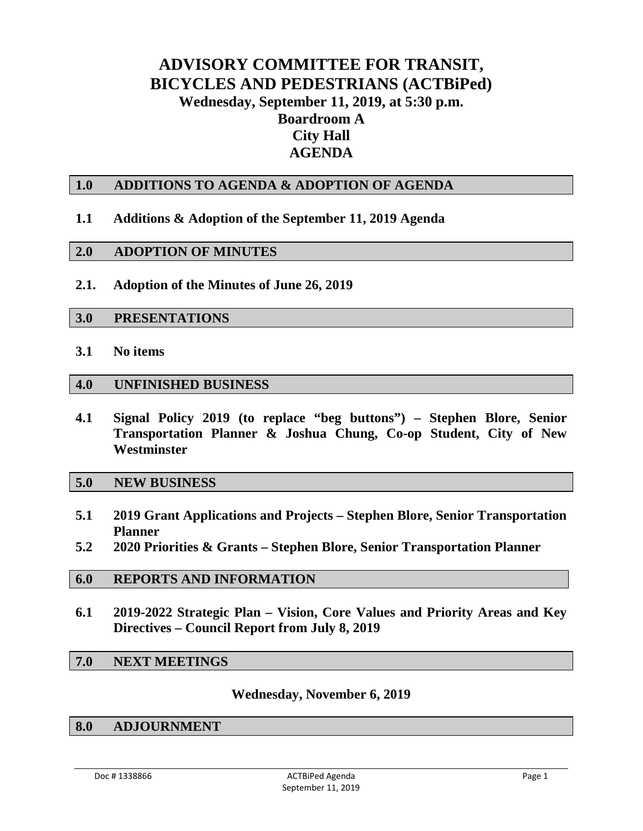#### **ADVISORY COMMITTEE FOR TRANSIT, BICYCLES AND PEDESTRIANS (ACTBiPed) Wednesday, September 11, 2019, at 5:30 p.m. Boardroom A City Hall AGENDA**

#### **1.0 ADDITIONS TO AGENDA & ADOPTION OF AGENDA**

#### **1.1 Additions & Adoption of the September 11, 2019 Agenda**

#### **2.0 ADOPTION OF MINUTES**

**2.1. Adoption of the Minutes of June 26, 2019**

#### **3.0 PRESENTATIONS**

**3.1 No items**

#### **4.0 UNFINISHED BUSINESS**

**4.1 Signal Policy 2019 (to replace "beg buttons") – Stephen Blore, Senior Transportation Planner & Joshua Chung, Co-op Student, City of New Westminster**

#### **5.0 NEW BUSINESS**

- **5.1 2019 Grant Applications and Projects – Stephen Blore, Senior Transportation Planner**
- **5.2 2020 Priorities & Grants – Stephen Blore, Senior Transportation Planner**

#### **6.0 REPORTS AND INFORMATION**

**6.1 2019-2022 Strategic Plan – Vision, Core Values and Priority Areas and Key Directives – Council Report from July 8, 2019**

#### **7.0 NEXT MEETINGS**

#### **Wednesday, November 6, 2019**

#### **8.0 ADJOURNMENT**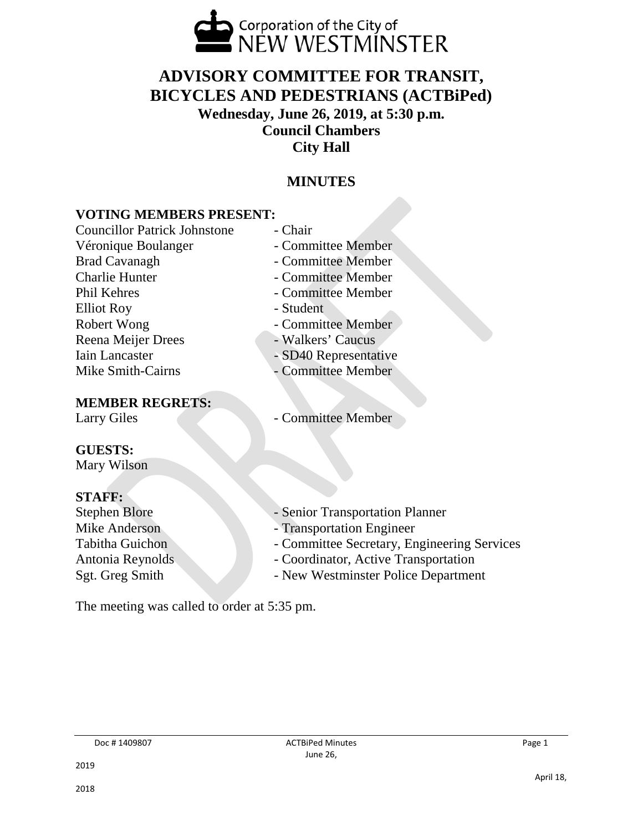

#### **ADVISORY COMMITTEE FOR TRANSIT, BICYCLES AND PEDESTRIANS (ACTBiPed) Wednesday, June 26, 2019, at 5:30 p.m. Council Chambers City Hall**

#### **MINUTES**

#### **VOTING MEMBERS PRESENT:**

Councillor Patrick Johnstone - Chair Véronique Boulanger - Committee Member Brad Cavanagh - Committee Member Charlie Hunter - Committee Member Phil Kehres - Committee Member Elliot Roy **- Student** Robert Wong **- Committee Member** Reena Meijer Drees - Walkers' Caucus<br>Iain Lancaster - SD40 Representation Mike Smith-Cairns - Committee Member

#### **MEMBER REGRETS:**

- 
- 
- 
- 
- 
- 
- 
- SD40 Representative
- 
- Larry Giles Committee Member

#### **GUESTS:**

Mary Wilson

#### **STAFF:**

- 
- Stephen Blore Senior Transportation Planner
- Mike Anderson Transportation Engineer
- Tabitha Guichon Committee Secretary, Engineering Services
- Antonia Reynolds Coordinator, Active Transportation
- Sgt. Greg Smith New Westminster Police Department

The meeting was called to order at 5:35 pm.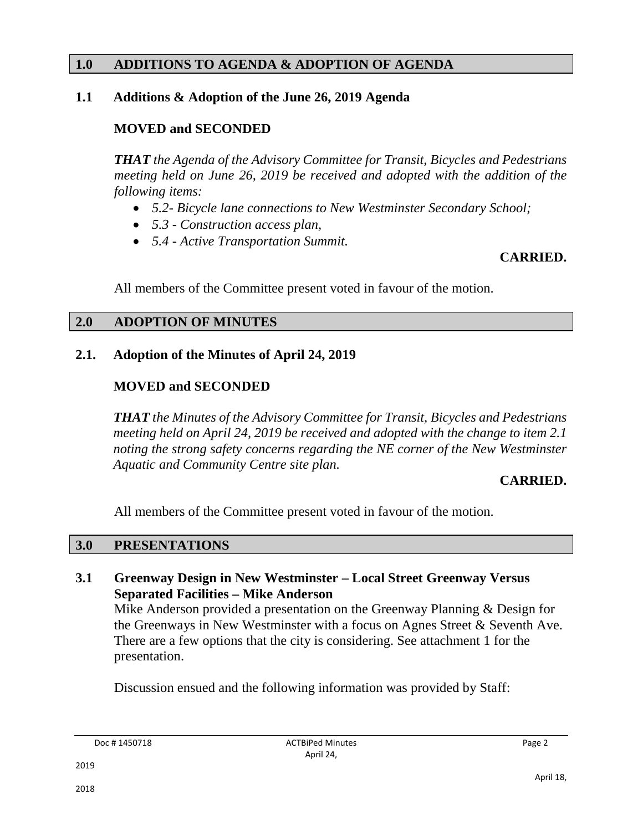#### **1.0 ADDITIONS TO AGENDA & ADOPTION OF AGENDA**

#### **1.1 Additions & Adoption of the June 26, 2019 Agenda**

#### **MOVED and SECONDED**

*THAT the Agenda of the Advisory Committee for Transit, Bicycles and Pedestrians meeting held on June 26, 2019 be received and adopted with the addition of the following items:*

- *5.2- Bicycle lane connections to New Westminster Secondary School;*
- *5.3 - Construction access plan,*
- *5.4 - Active Transportation Summit.*

#### **CARRIED.**

All members of the Committee present voted in favour of the motion.

#### **2.0 ADOPTION OF MINUTES**

#### **2.1. Adoption of the Minutes of April 24, 2019**

#### **MOVED and SECONDED**

*THAT the Minutes of the Advisory Committee for Transit, Bicycles and Pedestrians meeting held on April 24, 2019 be received and adopted with the change to item 2.1 noting the strong safety concerns regarding the NE corner of the New Westminster Aquatic and Community Centre site plan.*

#### **CARRIED.**

All members of the Committee present voted in favour of the motion.

#### **3.0 PRESENTATIONS**

**3.1 Greenway Design in New Westminster – Local Street Greenway Versus Separated Facilities – Mike Anderson**

Mike Anderson provided a presentation on the Greenway Planning & Design for the Greenways in New Westminster with a focus on Agnes Street & Seventh Ave. There are a few options that the city is considering. See attachment 1 for the presentation.

Discussion ensued and the following information was provided by Staff: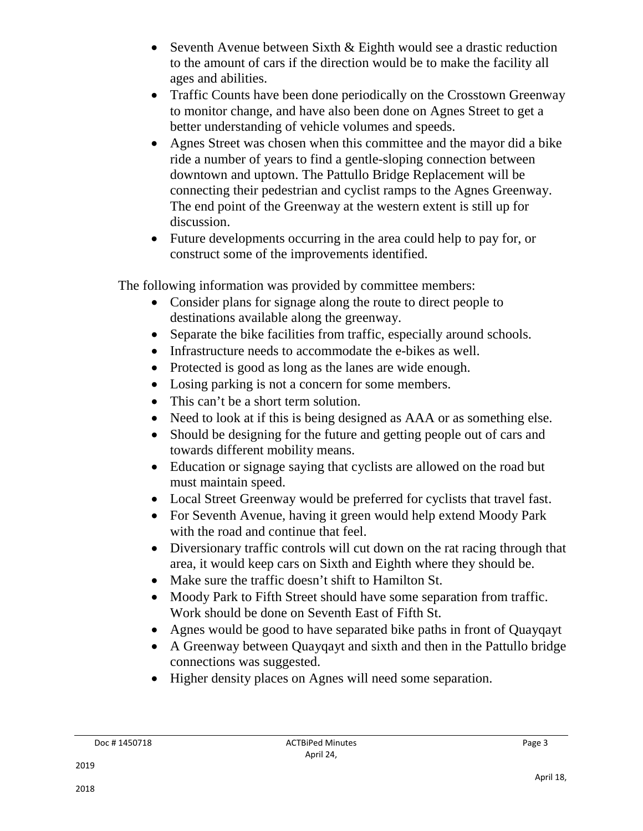- Seventh Avenue between Sixth & Eighth would see a drastic reduction to the amount of cars if the direction would be to make the facility all ages and abilities.
- Traffic Counts have been done periodically on the Crosstown Greenway to monitor change, and have also been done on Agnes Street to get a better understanding of vehicle volumes and speeds.
- Agnes Street was chosen when this committee and the mayor did a bike ride a number of years to find a gentle-sloping connection between downtown and uptown. The Pattullo Bridge Replacement will be connecting their pedestrian and cyclist ramps to the Agnes Greenway. The end point of the Greenway at the western extent is still up for discussion.
- Future developments occurring in the area could help to pay for, or construct some of the improvements identified.

The following information was provided by committee members:

- Consider plans for signage along the route to direct people to destinations available along the greenway.
- Separate the bike facilities from traffic, especially around schools.
- Infrastructure needs to accommodate the e-bikes as well.
- Protected is good as long as the lanes are wide enough.
- Losing parking is not a concern for some members.
- This can't be a short term solution.
- Need to look at if this is being designed as AAA or as something else.
- Should be designing for the future and getting people out of cars and towards different mobility means.
- Education or signage saying that cyclists are allowed on the road but must maintain speed.
- Local Street Greenway would be preferred for cyclists that travel fast.
- For Seventh Avenue, having it green would help extend Moody Park with the road and continue that feel.
- Diversionary traffic controls will cut down on the rat racing through that area, it would keep cars on Sixth and Eighth where they should be.
- Make sure the traffic doesn't shift to Hamilton St.
- Moody Park to Fifth Street should have some separation from traffic. Work should be done on Seventh East of Fifth St.
- Agnes would be good to have separated bike paths in front of Quayqayt
- A Greenway between Quayqayt and sixth and then in the Pattullo bridge connections was suggested.
- Higher density places on Agnes will need some separation.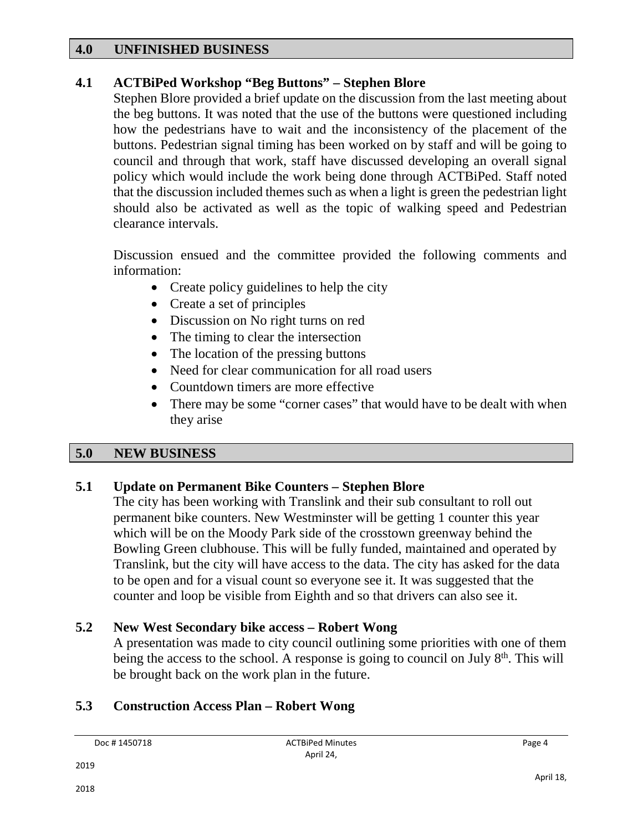#### **4.0 UNFINISHED BUSINESS**

#### **4.1 ACTBiPed Workshop "Beg Buttons" – Stephen Blore**

Stephen Blore provided a brief update on the discussion from the last meeting about the beg buttons. It was noted that the use of the buttons were questioned including how the pedestrians have to wait and the inconsistency of the placement of the buttons. Pedestrian signal timing has been worked on by staff and will be going to council and through that work, staff have discussed developing an overall signal policy which would include the work being done through ACTBiPed. Staff noted that the discussion included themes such as when a light is green the pedestrian light should also be activated as well as the topic of walking speed and Pedestrian clearance intervals.

Discussion ensued and the committee provided the following comments and information:

- Create policy guidelines to help the city
- Create a set of principles
- Discussion on No right turns on red
- The timing to clear the intersection
- The location of the pressing buttons
- Need for clear communication for all road users
- Countdown timers are more effective
- There may be some "corner cases" that would have to be dealt with when they arise

#### **5.0 NEW BUSINESS**

#### **5.1 Update on Permanent Bike Counters – Stephen Blore**

The city has been working with Translink and their sub consultant to roll out permanent bike counters. New Westminster will be getting 1 counter this year which will be on the Moody Park side of the crosstown greenway behind the Bowling Green clubhouse. This will be fully funded, maintained and operated by Translink, but the city will have access to the data. The city has asked for the data to be open and for a visual count so everyone see it. It was suggested that the counter and loop be visible from Eighth and so that drivers can also see it.

#### **5.2 New West Secondary bike access – Robert Wong**

A presentation was made to city council outlining some priorities with one of them being the access to the school. A response is going to council on July  $8<sup>th</sup>$ . This will be brought back on the work plan in the future.

#### **5.3 Construction Access Plan – Robert Wong**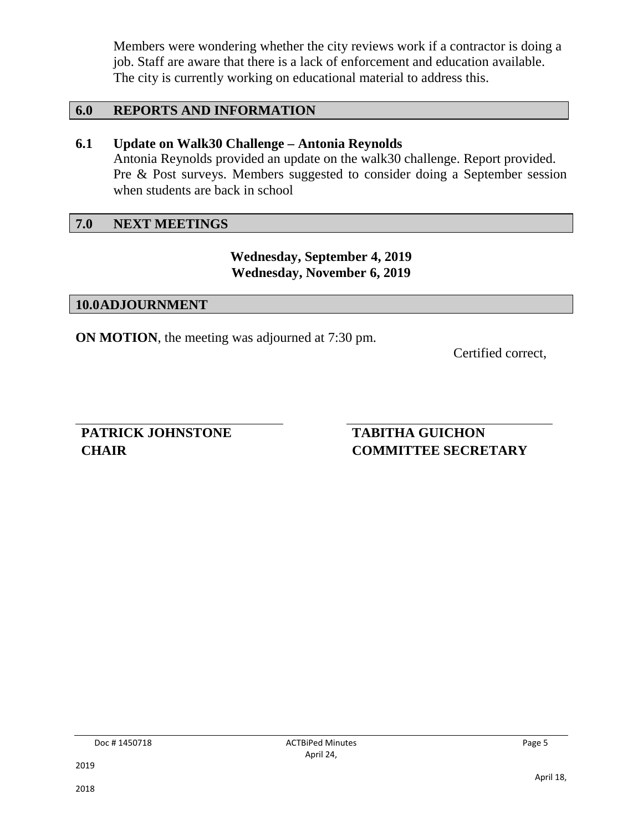Members were wondering whether the city reviews work if a contractor is doing a job. Staff are aware that there is a lack of enforcement and education available. The city is currently working on educational material to address this.

#### **6.0 REPORTS AND INFORMATION**

#### **6.1 Update on Walk30 Challenge – Antonia Reynolds**

Antonia Reynolds provided an update on the walk30 challenge. Report provided. Pre & Post surveys. Members suggested to consider doing a September session when students are back in school

#### **7.0 NEXT MEETINGS**

#### **Wednesday, September 4, 2019 Wednesday, November 6, 2019**

#### **10.0ADJOURNMENT**

**ON MOTION**, the meeting was adjourned at 7:30 pm.

Certified correct,

**PATRICK JOHNSTONE CHAIR**

#### **TABITHA GUICHON COMMITTEE SECRETARY**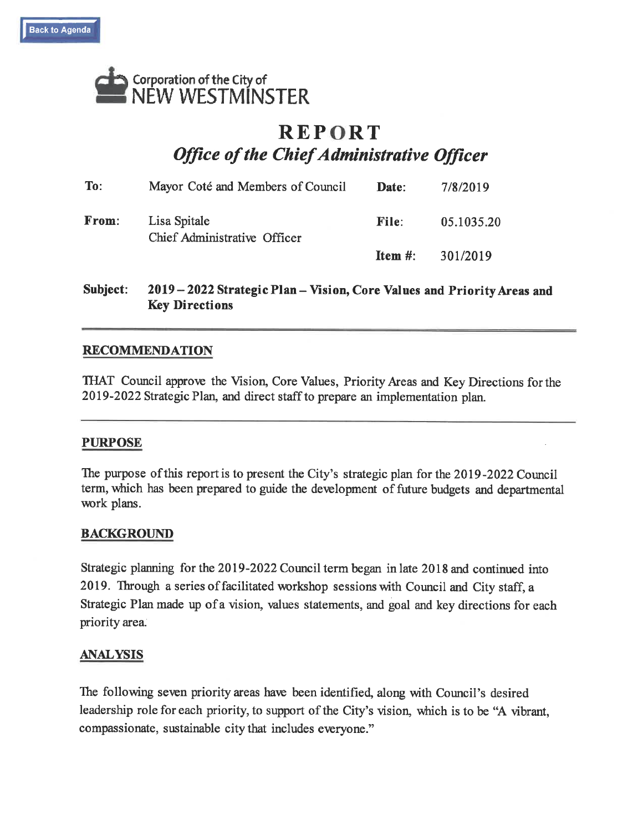

#### **REPORT Office of the Chief Administrative Officer**

| To:   | Mayor Coté and Members of Council            | Date:      | 7/8/2019   |
|-------|----------------------------------------------|------------|------------|
| From: | Lisa Spitale<br>Chief Administrative Officer | File:      | 05.1035.20 |
|       |                                              | Item $#$ : | 301/2019   |

2019-2022 Strategic Plan-Vision, Core Values and Priority Areas and Subject: **Key Directions** 

#### **RECOMMENDATION**

THAT Council approve the Vision, Core Values, Priority Areas and Key Directions for the 2019-2022 Strategic Plan, and direct staff to prepare an implementation plan.

#### **PURPOSE**

The purpose of this report is to present the City's strategic plan for the 2019-2022 Council term, which has been prepared to guide the development of future budgets and departmental work plans.

#### **BACKGROUND**

Strategic planning for the 2019-2022 Council term began in late 2018 and continued into 2019. Through a series of facilitated workshop sessions with Council and City staff, a Strategic Plan made up of a vision, values statements, and goal and key directions for each priority area.

#### **ANALYSIS**

The following seven priority areas have been identified, along with Council's desired leadership role for each priority, to support of the City's vision, which is to be "A vibrant, compassionate, sustainable city that includes everyone."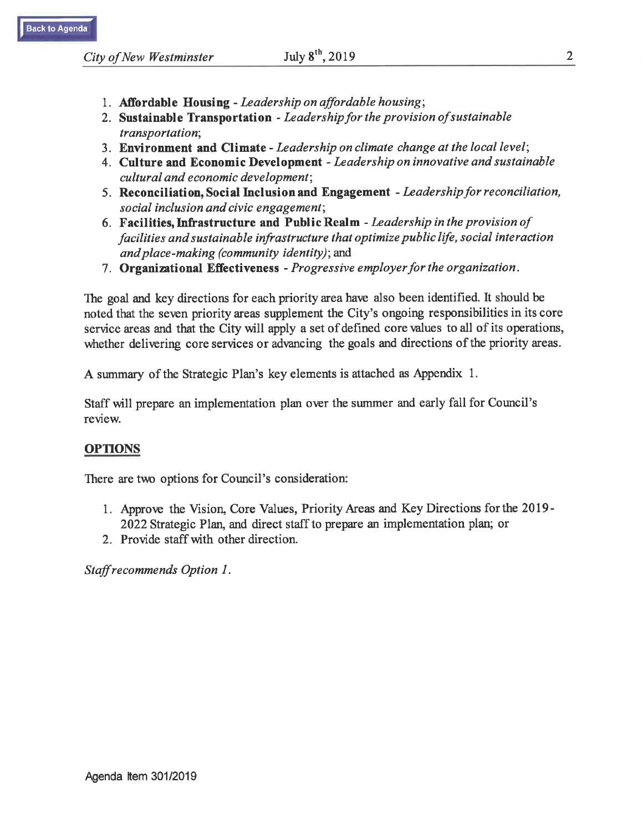- 1. Affordable Housing Leadership on affordable housing;
- 2. Sustainable Transportation Leadership for the provision of sustainable transportation;
- 3. Environment and Climate Leadership on climate change at the local level;
- 4. Culture and Economic Development Leadership on innovative and sustainable cultural and economic development;
- 5. Reconciliation, Social Inclusion and Engagement Leadership for reconciliation, social inclusion and civic engagement;
- 6. Facilities, Infrastructure and Public Realm Leadership in the provision of facilities and sustainable infrastructure that optimize public life, social interaction and place-making (community identity); and
- 7. Organizational Effectiveness Progressive employer for the organization.

The goal and key directions for each priority area have also been identified. It should be noted that the seven priority areas supplement the City's ongoing responsibilities in its core service areas and that the City will apply a set of defined core values to all of its operations, whether delivering core services or advancing the goals and directions of the priority areas.

A summary of the Strategic Plan's key elements is attached as Appendix 1.

Staff will prepare an implementation plan over the summer and early fall for Council's review.

#### **OPTIONS**

There are two options for Council's consideration:

- 1. Approve the Vision, Core Values, Priority Areas and Key Directions for the 2019-2022 Strategic Plan, and direct staff to prepare an implementation plan; or
- 2. Provide staff with other direction.

Staff recommends Option 1.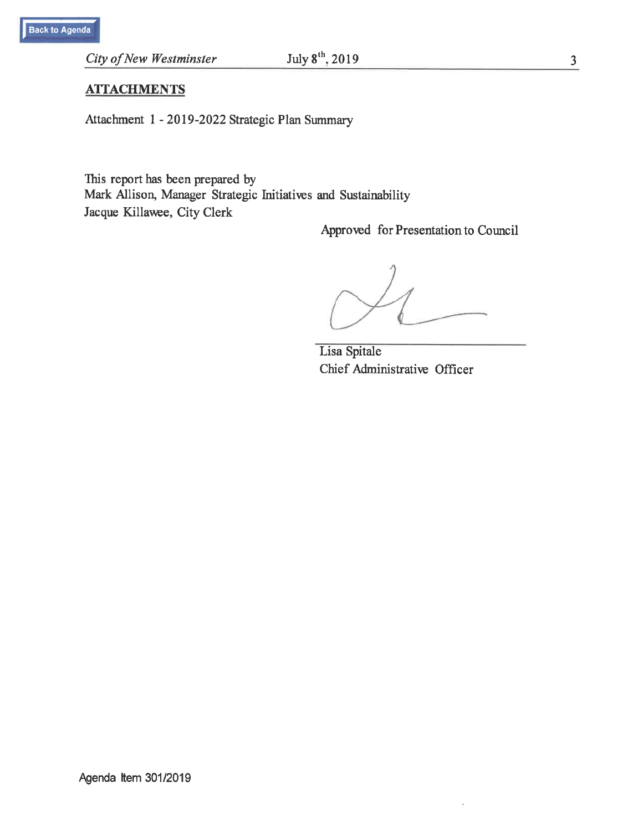City of New Westminster

#### $\frac{3}{2}$

#### **ATTACHMENTS**

Attachment 1 - 2019-2022 Strategic Plan Summary

This report has been prepared by Mark Allison, Manager Strategic Initiatives and Sustainability Jacque Killawee, City Clerk

Approved for Presentation to Council

Lisa Spitale Chief Administrative Officer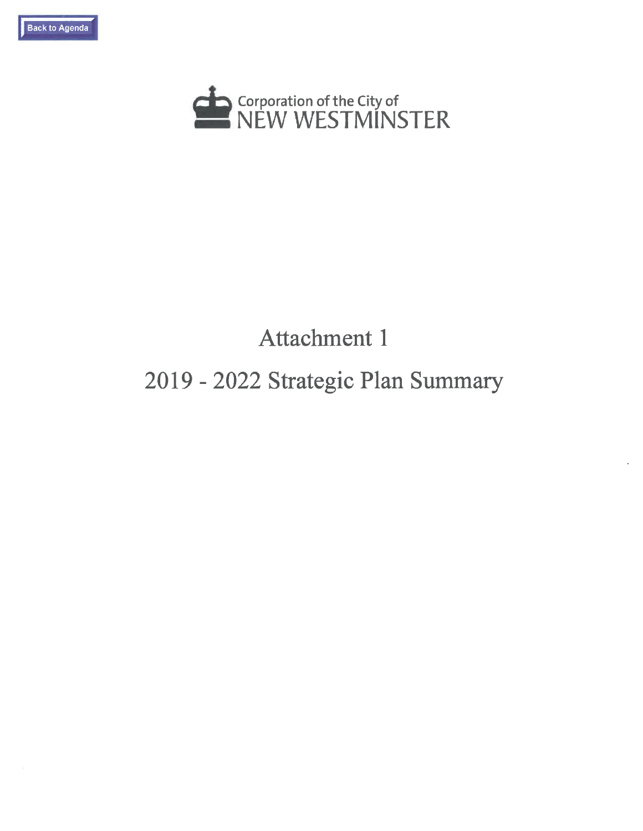



### **Attachment 1**

#### 2019 - 2022 Strategic Plan Summary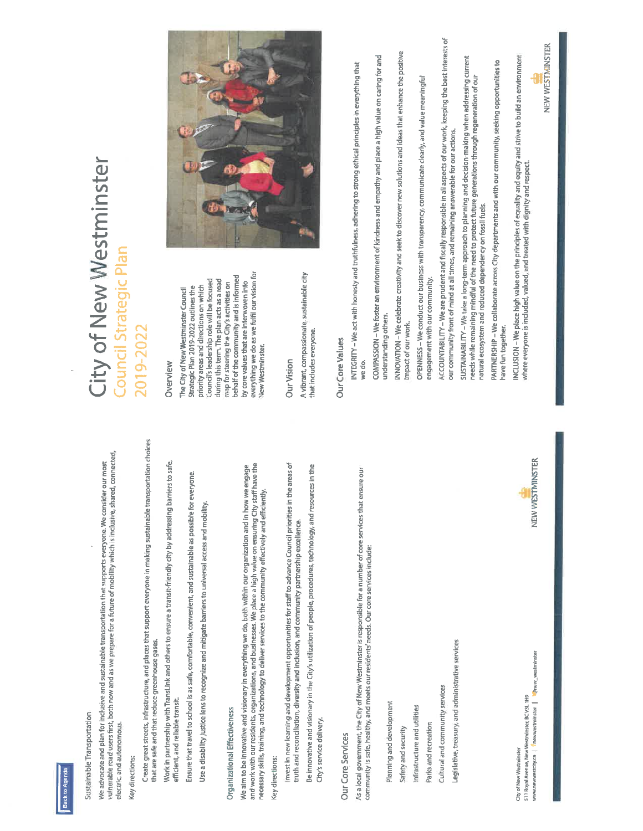

# Sustainable Transportation

We advocate and plan for inclusive and sustainable transportation that supports everyone. We consider our most<br>vulnerable road users first, both now and as we prepare for a future of mobility which is inclusive, shared, co electric, and autonomous.

## Key directions:

Create great streets, infrastructure, and places that support everyone in making sustainable transportation choices that are safe and that reduce greenhouse gases.

Work in partnership with TransLink and others to ensure a transit-friendly city by addressing barriers to safe, efficient, and reliable transit.

Ensure that travel to school is as safe, comfortable, convenient, and sustainable as possible for everyone.

Use a disability justice lens to recognize and mitigate barriers to universal access and mobility,

# Organizational Effectiveness

and work with our residents, organizations, and businesses. We place a high value on ensuring City staff have the<br>necessary skills, training, and technology to deliver services to the community effectively and efficiently. We aim to be innovative and visionary in everything we do, both within our organization and in how we engage

## Key directions:

Invest in new learning and development opportunities for staff to advance Council priorities in the areas of truth and reconciliation, diversity and inclusion, and community partnership excellence.

Be innovative and visionary in the City's utilization of people, procedures, technology, and resources in the City's service delivery.

## Our Core Services

As a local government, the City of New Westminster is responsible for a number of core services that ensure our community is safe, healthy, and meets our residents' needs. Our core services include:

Planning and development

Safety and security

Infrastructure and utilities

Parks and recreation

Cultural and community services

Legislative, treasury, and administrative services

anew\_westminster 511 Royal Avenue, New Westminster, BC V3L 1H9 westcity.ca | Thewwestminster City of New Westminster



## City of New Westminster **Council Strategic Plan** 2019-2022

### Overview

everything we do as we fulfil our vision for behalf of the community and is informed Council's leadership role will be focused during this term. The plan acts as a road map for steering the City's activities on by core values that are interwoven into priority areas and directions on which Strategic Plan 2019-2022 outlines the The City of New Westminster Council New Westminster.

### **Our Vision**

A vibrant, compassionate, sustainable city that includes everyone.



## Our Core Values

INTEGRITY – We act with honesty and truthfulness, adhering to strong ethical principles in everything that we do. COMPASSION – We foster an environment of kindness and empathy and place a high value on caring for and understanding others. INNOVATION - We celebrate creativity and seek to discover new solutions and ideas that enhance the positive impact of our work

OPENNESS – We conduct our business with transparency, communicate clearly, and value meaningful engagement with our community. ACCOUNTABILITY - We are prudent and fiscally responsible in all aspects of our work, keeping the best interests of our community front of mind at all times, and remaining answerable for our actions.

SUSTAINABILITY – We take a long-term approach to planning and decision-making when addressing current needs while remaining mindful of the need to protect future generations through regeneration of our natural ecosystem and reduced dependency on fossil fuels.

PARTNERSHIP - We collaborate across City departments and with our community, seeking opportunities to have fun together. INCLUSION – We place high value on the principles of equality and equity and strive to build an environment<br>where everyone is included, valued, and treated with dignity and respect.